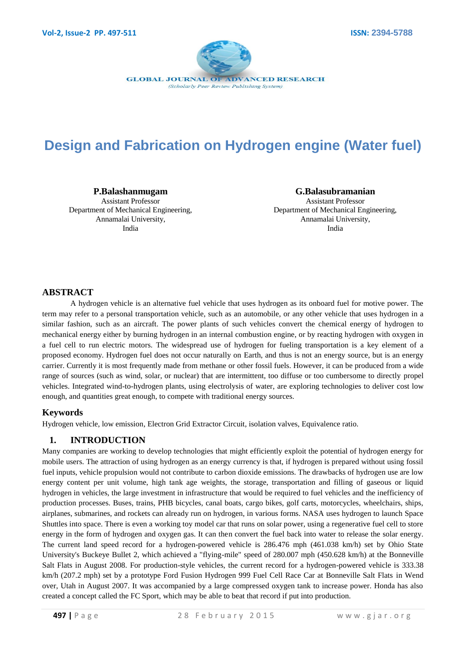

# **Design and Fabrication on Hydrogen engine (Water fuel)**

**P.Balashanmugam** Assistant Professor Department of Mechanical Engineering, Annamalai University, India

**G.Balasubramanian** Assistant Professor Department of Mechanical Engineering, Annamalai University, India

# **ABSTRACT**

A hydrogen vehicle is an [alternative fuel vehicle](http://en.wikipedia.org/wiki/Alternative_fuel_vehicle) that uses [hydrogen](http://en.wikipedia.org/wiki/Hydrogen) as its onboard fuel for motive power. The term may refer to a personal transportation vehicle, such as an [automobile,](http://en.wikipedia.org/wiki/Automobile) or any other vehicle that uses hydrogen in a similar fashion, such as an [aircraft.](http://en.wikipedia.org/wiki/Aircraft) The power plants of such vehicles convert the chemical energy of hydrogen to [mechanical energy](http://en.wikipedia.org/wiki/Mechanical_energy) either by burning hydrogen in an [internal combustion engine,](http://en.wikipedia.org/wiki/Internal_combustion_engine) or by reacting hydrogen with oxygen in a [fuel cell](http://en.wikipedia.org/wiki/Fuel_cell) to run electric motors. The widespread use of hydrogen for fueling transportation is a key element of a proposed economy. Hydrogen fuel does not occur naturally on Earth, and thus is not an energy source, but is an energy carrier. Currently it is most frequently made from methane or other [fossil fuels.](http://en.wikipedia.org/wiki/Fossil_fuel) However, it can be produced from a wide range of sources (such as wind, solar, or nuclear) that are intermittent, too diffuse or too cumbersome to directly propel vehicles. Integrated wind-to-hydrogen plants, using [electrolysis of water,](http://en.wikipedia.org/wiki/Electrolysis_of_water) are exploring technologies to deliver cost low enough, and quantities great enough, to compete with traditional energy sources.

#### **Keywords**

Hydrogen vehicle, low emission, Electron Grid Extractor Circuit, isolation valves, Equivalence ratio.

#### **1. INTRODUCTION**

Many companies are working to develop technologies that might efficiently exploit the potential of hydrogen energy for mobile users. The attraction of using hydrogen as an energy currency is that, if hydrogen is prepared without using fossil fuel inputs, vehicle propulsion would not contribute to carbon dioxide emissions. The drawbacks of hydrogen use are low energy content per unit volume, high tank age weights, the storage, transportation and filling of gaseous or liquid hydrogen in vehicles, the large investment in infrastructure that would be required to fuel vehicles and the inefficiency of production processes. Buses, trains, PHB bicycles, canal boats, cargo bikes, golf carts, motorcycles, wheelchairs, ships, airplanes, submarines, and rockets can already run on hydrogen, in various forms. NASA uses hydrogen to launch Space Shuttles into space. There is even a working toy model car that runs on solar power, using a regenerative fuel cell to store energy in the form of hydrogen and oxygen gas. It can then convert the fuel back into water to release the solar energy. The current land speed record for a hydrogen-powered vehicle is 286.476 mph (461.038 km/h) set by Ohio State University's Buckeye Bullet 2, which achieved a "flying-mile" speed of 280.007 mph (450.628 km/h) at the Bonneville Salt Flats in August 2008. For production-style vehicles, the current record for a hydrogen-powered vehicle is 333.38 km/h (207.2 mph) set by a prototype Ford Fusion Hydrogen 999 Fuel Cell Race Car at Bonneville Salt Flats in Wend over, Utah in August 2007. It was accompanied by a large compressed oxygen tank to increase power. Honda has also created a concept called the FC Sport, which may be able to beat that record if put into production.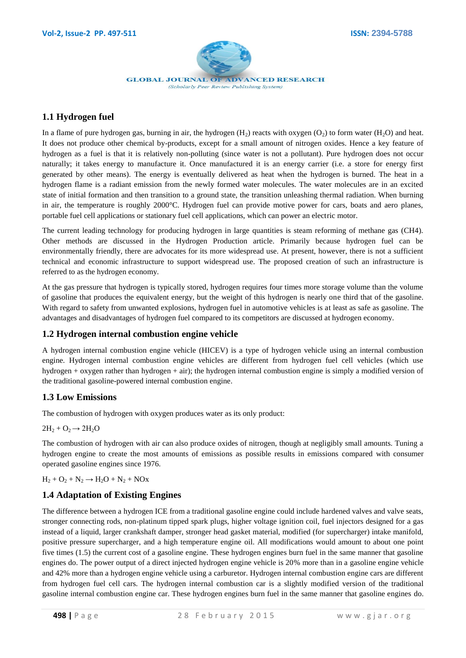

# **1.1 Hydrogen fuel**

In a flame of pure hydrogen gas, burning in air, the hydrogen  $(H_2)$  reacts with oxygen  $(O_2)$  to form water  $(H_2O)$  and heat. It does not produce other chemical by-products, except for a small amount of nitrogen oxides. Hence a key feature of hydrogen as a fuel is that it is relatively non-polluting (since water is not a pollutant). Pure hydrogen does not occur naturally; it takes energy to manufacture it. Once manufactured it is an energy carrier (i.e. a store for energy first generated by other means). The energy is eventually delivered as heat when the hydrogen is burned. The heat in a hydrogen flame is a radiant emission from the newly formed water molecules. The water molecules are in an excited state of initial formation and then transition to a ground state, the transition unleashing thermal radiation. When burning in air, the temperature is roughly 2000°C. Hydrogen fuel can provide motive power for cars, boats and aero planes, portable fuel cell applications or stationary fuel cell applications, which can power an electric motor.

The current leading technology for producing hydrogen in large quantities is steam reforming of methane gas (CH4). Other methods are discussed in the Hydrogen Production article. Primarily because hydrogen fuel can be environmentally friendly, there are advocates for its more widespread use. At present, however, there is not a sufficient technical and economic infrastructure to support widespread use. The proposed creation of such an infrastructure is referred to as the hydrogen economy.

At the gas pressure that hydrogen is typically stored, hydrogen requires four times more storage volume than the volume of gasoline that produces the equivalent energy, but the weight of this hydrogen is nearly one third that of the gasoline. With regard to safety from unwanted explosions, hydrogen fuel in automotive vehicles is at least as safe as gasoline. The advantages and disadvantages of hydrogen fuel compared to its competitors are discussed at hydrogen economy.

## **1.2 Hydrogen internal combustion engine vehicle**

A hydrogen internal combustion engine vehicle (HICEV) is a type of hydrogen vehicle using an internal combustion engine. Hydrogen internal combustion engine vehicles are different from hydrogen fuel cell vehicles (which use hydrogen + oxygen rather than hydrogen + air); the hydrogen internal combustion engine is simply a modified version of the traditional gasoline-powered internal combustion engine.

## **1.3 Low Emissions**

The combustion of hydrogen with oxygen produces water as its only product:

 $2H_2 + O_2 \rightarrow 2H_2O$ 

The combustion of hydrogen with air can also produce oxides of nitrogen, though at negligibly small amounts. Tuning a hydrogen engine to create the most amounts of emissions as possible results in emissions compared with consumer operated gasoline engines since 1976.

 $H_2 + O_2 + N_2 \rightarrow H_2O + N_2 + NOx$ 

## **1.4 Adaptation of Existing Engines**

The difference between a hydrogen ICE from a traditional gasoline engine could include hardened valves and valve seats, stronger connecting rods, non-platinum tipped spark plugs, higher voltage ignition coil, fuel injectors designed for a gas instead of a liquid, larger crankshaft damper, stronger head gasket material, modified (for supercharger) intake manifold, positive pressure supercharger, and a high temperature engine oil. All modifications would amount to about one point five times (1.5) the current cost of a gasoline engine. These hydrogen engines burn fuel in the same manner that gasoline engines do. The power output of a direct injected hydrogen engine vehicle is 20% more than in a gasoline engine vehicle and 42% more than a hydrogen engine vehicle using a carburetor. Hydrogen internal combustion engine cars are different from hydrogen fuel cell cars. The hydrogen internal combustion car is a slightly modified version of the traditional gasoline internal combustion engine car. These hydrogen engines burn fuel in the same manner that gasoline engines do.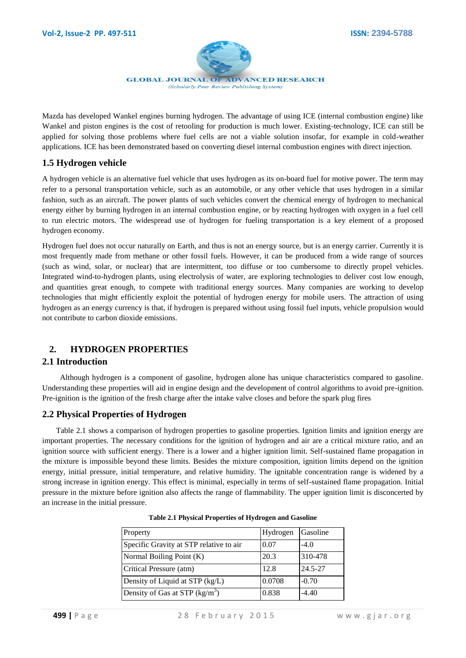

Mazda has developed Wankel engines burning hydrogen. The advantage of using ICE (internal combustion engine) like Wankel and piston engines is the cost of retooling for production is much lower. Existing-technology, ICE can still be applied for solving those problems where fuel cells are not a viable solution insofar, for example in cold-weather applications. ICE has been demonstrated based on converting diesel internal combustion engines with direct injection.

# **1.5 Hydrogen vehicle**

A hydrogen vehicle is an alternative fuel vehicle that uses hydrogen as its on-board fuel for motive power. The term may refer to a personal transportation vehicle, such as an automobile, or any other vehicle that uses hydrogen in a similar fashion, such as an aircraft. The power plants of such vehicles convert the chemical energy of hydrogen to mechanical energy either by burning hydrogen in an internal combustion engine, or by reacting hydrogen with oxygen in a fuel cell to run electric motors. The widespread use of hydrogen for fueling transportation is a key element of a proposed hydrogen economy.

Hydrogen fuel does not occur naturally on Earth, and thus is not an energy source, but is an energy carrier. Currently it is most frequently made from methane or other fossil fuels. However, it can be produced from a wide range of sources (such as wind, solar, or nuclear) that are intermittent, too diffuse or too cumbersome to directly propel vehicles. Integrated wind-to-hydrogen plants, using electrolysis of water, are exploring technologies to deliver cost low enough, and quantities great enough, to compete with traditional energy sources. Many companies are working to develop technologies that might efficiently exploit the potential of hydrogen energy for mobile users. The attraction of using hydrogen as an energy currency is that, if hydrogen is prepared without using fossil fuel inputs, vehicle propulsion would not contribute to carbon dioxide emissions.

# **2. HYDROGEN PROPERTIES**

## **2.1 Introduction**

 Although hydrogen is a component of gasoline, hydrogen alone has unique characteristics compared to gasoline. Understanding these properties will aid in engine design and the development of control algorithms to avoid pre-ignition. Pre-ignition is the ignition of the fresh charge after the intake valve closes and before the spark plug fires

# **2.2 Physical Properties of Hydrogen**

 Table 2.1 shows a comparison of hydrogen properties to gasoline properties. Ignition limits and ignition energy are important properties. The necessary conditions for the ignition of hydrogen and air are a critical mixture ratio, and an ignition source with sufficient energy. There is a lower and a higher ignition limit. Self-sustained flame propagation in the mixture is impossible beyond these limits. Besides the mixture composition, ignition limits depend on the ignition energy, initial pressure, initial temperature, and relative humidity. The ignitable concentration range is widened by a strong increase in ignition energy. This effect is minimal, especially in terms of self-sustained flame propagation. Initial pressure in the mixture before ignition also affects the range of flammability. The upper ignition limit is disconcerted by an increase in the initial pressure.

| Property                                | Hydrogen | Gasoline    |
|-----------------------------------------|----------|-------------|
| Specific Gravity at STP relative to air | 0.07     | $-4.0$      |
| Normal Boiling Point (K)                | 20.3     | 310-478     |
| Critical Pressure (atm)                 | 12.8     | $24.5 - 27$ |
| Density of Liquid at STP (kg/L)         | 0.0708   | $-0.70$     |
| Density of Gas at STP $(kg/m3)$         | 0.838    | $-4.40$     |

|  |  |  | Table 2.1 Physical Properties of Hydrogen and Gasoline |  |  |
|--|--|--|--------------------------------------------------------|--|--|
|--|--|--|--------------------------------------------------------|--|--|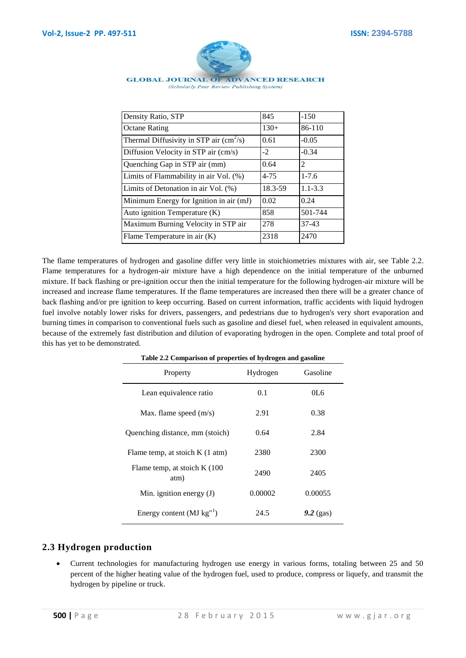

#### **GLOBAL JOURNAL OF ADVANCED RESEARCH** (Scholarly Peer Review Publishing System)

| Density Ratio, STP                                      | 845      | $-150$      |
|---------------------------------------------------------|----------|-------------|
| <b>Octane Rating</b>                                    | $130+$   | 86-110      |
| Thermal Diffusivity in STP air $\text{(cm}^2\text{/s)}$ | 0.61     | $-0.05$     |
| Diffusion Velocity in STP air (cm/s)                    | $-2$     | $-0.34$     |
| Quenching Gap in STP air (mm)                           | 0.64     | 2           |
| Limits of Flammability in air Vol. (%)                  | $4 - 75$ | $1 - 7.6$   |
| Limits of Detonation in air Vol. (%)                    | 18.3-59  | $1.1 - 3.3$ |
| Minimum Energy for Ignition in air (mJ)                 | 0.02     | 0.24        |
| Auto ignition Temperature (K)                           | 858      | 501-744     |
| Maximum Burning Velocity in STP air                     | 278      | $37-43$     |
| Flame Temperature in air (K)                            | 2318     | 2470        |

The flame temperatures of hydrogen and gasoline differ very little in stoichiometries mixtures with air, see Table 2.2. Flame temperatures for a hydrogen-air mixture have a high dependence on the initial temperature of the unburned mixture. If back flashing or pre-ignition occur then the initial temperature for the following hydrogen-air mixture will be increased and increase flame temperatures. If the flame temperatures are increased then there will be a greater chance of back flashing and/or pre ignition to keep occurring. Based on current information, traffic accidents with liquid hydrogen fuel involve notably lower risks for drivers, passengers, and pedestrians due to hydrogen's very short evaporation and burning times in comparison to conventional fuels such as gasoline and diesel fuel, when released in equivalent amounts, because of the extremely fast distribution and dilution of evaporating hydrogen in the open. Complete and total proof of this has yet to be demonstrated.

| Table 2.2 Comparison of properties of hydrogen and gasoline |          |             |
|-------------------------------------------------------------|----------|-------------|
| Property                                                    | Hydrogen | Gasoline    |
| Lean equivalence ratio                                      | 0.1      | 0L6         |
| Max. flame speed $(m/s)$                                    | 2.91     | 0.38        |
| Quenching distance, mm (stoich)                             | 0.64     | 2.84        |
| Flame temp, at stoich $K(1 \text{ atm})$                    | 2380     | 2300        |
| Flame temp, at stoich $K(100)$<br>atm)                      | 2490     | 2405        |
| Min. ignition energy $(J)$                                  | 0.00002  | 0.00055     |
| Energy content ( $MJ$ kg <sup>"1</sup> )                    | 24.5     | $9.2$ (gas) |

#### **2.3 Hydrogen production**

 Current technologies for manufacturing hydrogen use energy in various forms, totaling between 25 and 50 percent of the higher heating value of the hydrogen fuel, used to produce, compress or liquefy, and transmit the hydrogen by pipeline or truck.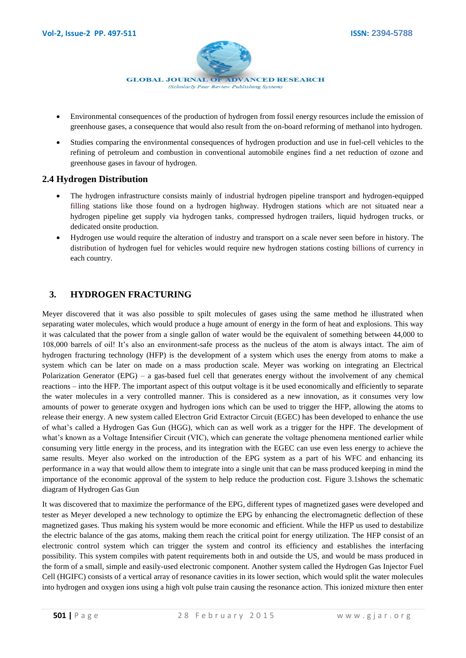

- Environmental consequences of the production of hydrogen from fossil energy resources include the emission of greenhouse gases, a consequence that would also result from the on-board reforming of methanol into hydrogen.
- Studies comparing the environmental consequences of hydrogen production and use in fuel-cell vehicles to the refining of petroleum and combustion in conventional automobile engines find a net reduction of ozone and greenhouse gases in favour of hydrogen.

## **2.4 Hydrogen Distribution**

- The hydrogen infrastructure consists mainly of industrial hydrogen pipeline transport and hydrogen-equipped filling stations like those found on a hydrogen highway. Hydrogen stations which are not situated near a hydrogen pipeline get supply via hydrogen tanks, compressed hydrogen trailers, liquid hydrogen trucks, or dedicated onsite production.
- Hydrogen use would require the alteration of industry and transport on a scale never seen before in history. The distribution of hydrogen fuel for vehicles would require new hydrogen stations costing billions of currency in each country.

# **3. HYDROGEN FRACTURING**

Meyer discovered that it was also possible to spilt molecules of gases using the same method he illustrated when separating water molecules, which would produce a huge amount of energy in the form of heat and explosions. This way it was calculated that the power from a single gallon of water would be the equivalent of something between 44,000 to 108,000 barrels of oil! It's also an environment-safe process as the nucleus of the atom is always intact. The aim of hydrogen fracturing technology (HFP) is the development of a system which uses the energy from atoms to make a system which can be later on made on a mass production scale. Meyer was working on integrating an Electrical Polarization Generator (EPG) – a gas-based fuel cell that generates energy without the involvement of any chemical reactions – into the HFP. The important aspect of this output voltage is it be used economically and efficiently to separate the water molecules in a very controlled manner. This is considered as a new innovation, as it consumes very low amounts of power to generate oxygen and hydrogen ions which can be used to trigger the HFP, allowing the atoms to release their energy. A new system called Electron Grid Extractor Circuit (EGEC) has been developed to enhance the use of what's called a Hydrogen Gas Gun (HGG), which can as well work as a trigger for the HPF. The development of what's known as a Voltage Intensifier Circuit (VIC), which can generate the voltage phenomena mentioned earlier while consuming very little energy in the process, and its integration with the EGEC can use even less energy to achieve the same results. Meyer also worked on the introduction of the EPG system as a part of his WFC and enhancing its performance in a way that would allow them to integrate into a single unit that can be mass produced keeping in mind the importance of the economic approval of the system to help reduce the production cost. Figure 3.1shows the schematic diagram of Hydrogen Gas Gun

It was discovered that to maximize the performance of the EPG, different types of magnetized gases were developed and tester as Meyer developed a new technology to optimize the EPG by enhancing the electromagnetic deflection of these magnetized gases. Thus making his system would be more economic and efficient. While the HFP us used to destabilize the electric balance of the gas atoms, making them reach the critical point for energy utilization. The HFP consist of an electronic control system which can trigger the system and control its efficiency and establishes the interfacing possibility. This system compiles with patent requirements both in and outside the US, and would be mass produced in the form of a small, simple and easily-used electronic component. Another system called the Hydrogen Gas Injector Fuel Cell (HGIFC) consists of a vertical array of resonance cavities in its lower section, which would split the water molecules into hydrogen and oxygen ions using a high volt pulse train causing the resonance action. This ionized mixture then enter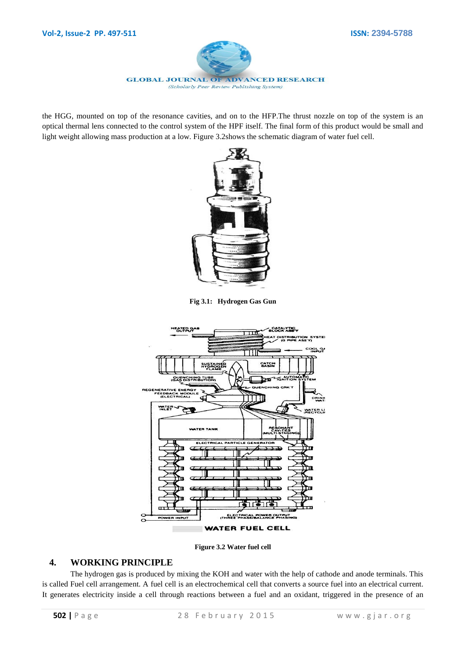

the HGG, mounted on top of the resonance cavities, and on to the HFP.The thrust nozzle on top of the system is an optical thermal lens connected to the control system of the HPF itself. The final form of this product would be small and light weight allowing mass production at a low. Figure 3.2shows the schematic diagram of water fuel cell.



**Fig 3.1: Hydrogen Gas Gun**



**Figure 3.2 Water fuel cell**

## **4. WORKING PRINCIPLE**

The hydrogen gas is produced by mixing the KOH and water with the help of cathode and anode terminals. This is called Fuel cell arrangement. A fuel cell is an [electrochemical cell](http://en.wikipedia.org/wiki/Electrochemical_cell) that converts a source fuel into an electrical current. It generates electricity inside a cell through reactions between a fuel and an oxidant, triggered in the presence of an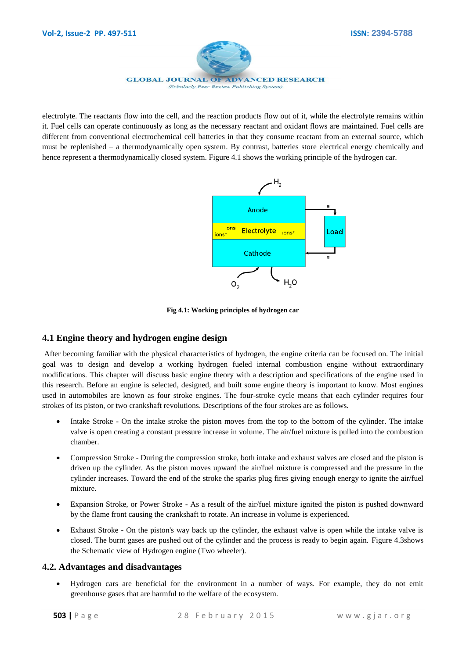

electrolyte. The reactants flow into the cell, and the reaction products flow out of it, while the electrolyte remains within it. Fuel cells can operate continuously as long as the necessary reactant and oxidant flows are maintained. Fuel cells are different from conventional electrochemical cell [batteries](http://en.wikipedia.org/wiki/Battery_(electricity)) in that they consume reactant from an external source, which must be replenished – a [thermodynamically open system.](http://en.wikipedia.org/wiki/Thermodynamic_system) By contrast, batteries store electrical energy chemically and hence represent a thermodynamically closed system. Figure 4.1 shows the working principle of the hydrogen car.



**Fig 4.1: Working principles of hydrogen car**

## **4.1 Engine theory and hydrogen engine design**

After becoming familiar with the physical characteristics of hydrogen, the engine criteria can be focused on. The initial goal was to design and develop a working hydrogen fueled internal combustion engine without extraordinary modifications. This chapter will discuss basic engine theory with a description and specifications of the engine used in this research. Before an engine is selected, designed, and built some engine theory is important to know. Most engines used in automobiles are known as four stroke engines. The four-stroke cycle means that each cylinder requires four strokes of its piston, or two crankshaft revolutions. Descriptions of the four strokes are as follows.

- Intake Stroke On the intake stroke the piston moves from the top to the bottom of the cylinder. The intake valve is open creating a constant pressure increase in volume. The air/fuel mixture is pulled into the combustion chamber.
- Compression Stroke During the compression stroke, both intake and exhaust valves are closed and the piston is driven up the cylinder. As the piston moves upward the air/fuel mixture is compressed and the pressure in the cylinder increases. Toward the end of the stroke the sparks plug fires giving enough energy to ignite the air/fuel mixture.
- Expansion Stroke, or Power Stroke As a result of the air/fuel mixture ignited the piston is pushed downward by the flame front causing the crankshaft to rotate. An increase in volume is experienced.
- Exhaust Stroke On the piston's way back up the cylinder, the exhaust valve is open while the intake valve is closed. The burnt gases are pushed out of the cylinder and the process is ready to begin again. Figure 4.3shows the Schematic view of Hydrogen engine (Two wheeler).

## **4.2. Advantages and disadvantages**

 Hydrogen cars are beneficial for the environment in a number of ways. For example, they do not emit greenhouse gases that are harmful to the welfare of the ecosystem.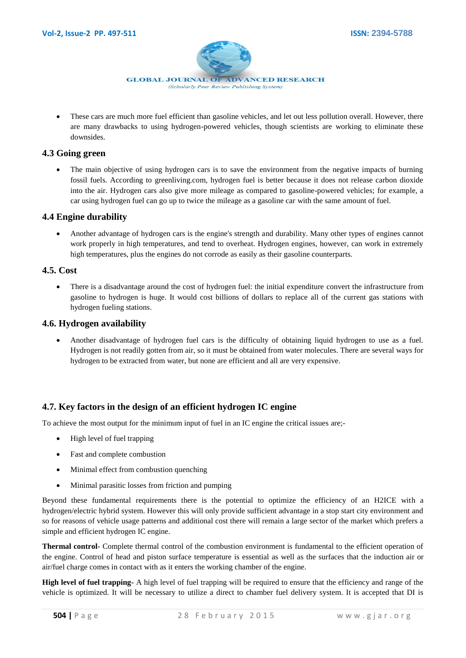

• These cars are much more fuel efficient than gasoline vehicles, and let out less pollution overall. However, there are many drawbacks to using hydrogen-powered vehicles, though scientists are working to eliminate these downsides.

## **4.3 Going green**

 The main objective of using hydrogen cars is to save the environment from the negative impacts of burning fossil fuels. According to greenliving.com, hydrogen fuel is better because it does not release carbon dioxide into the air. Hydrogen cars also give more mileage as compared to gasoline-powered vehicles; for example, a car using hydrogen fuel can go up to twice the mileage as a gasoline car with the same amount of fuel.

## **4.4 Engine durability**

 Another advantage of hydrogen cars is the engine's strength and durability. Many other types of engines cannot work properly in high temperatures, and tend to overheat. Hydrogen engines, however, can work in extremely high temperatures, plus the engines do not corrode as easily as their gasoline counterparts.

## **4.5. Cost**

 There is a disadvantage around the cost of hydrogen fuel: the initial expenditure convert the infrastructure from gasoline to hydrogen is huge. It would cost billions of dollars to replace all of the current gas stations with hydrogen fueling stations.

# **4.6. Hydrogen availability**

 Another disadvantage of hydrogen fuel cars is the difficulty of obtaining liquid hydrogen to use as a fuel. Hydrogen is not readily gotten from air, so it must be obtained from water molecules. There are several ways for hydrogen to be extracted from water, but none are efficient and all are very expensive.

# **4.7. Key factors in the design of an efficient hydrogen IC engine**

To achieve the most output for the minimum input of fuel in an IC engine the critical issues are;-

- High level of fuel trapping
- Fast and complete combustion
- Minimal effect from combustion quenching
- Minimal parasitic losses from friction and pumping

Beyond these fundamental requirements there is the potential to optimize the efficiency of an H2ICE with a hydrogen/electric hybrid system. However this will only provide sufficient advantage in a stop start city environment and so for reasons of vehicle usage patterns and additional cost there will remain a large sector of the market which prefers a simple and efficient hydrogen IC engine.

**Thermal control-** Complete thermal control of the combustion environment is fundamental to the efficient operation of the engine. Control of head and piston surface temperature is essential as well as the surfaces that the induction air or air/fuel charge comes in contact with as it enters the working chamber of the engine.

**High level of fuel trapping-** A high level of fuel trapping will be required to ensure that the efficiency and range of the vehicle is optimized. It will be necessary to utilize a direct to chamber fuel delivery system. It is accepted that DI is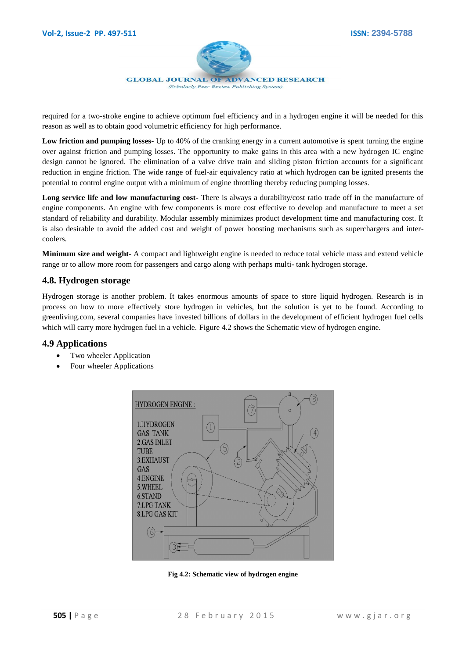

required for a two-stroke engine to achieve optimum fuel efficiency and in a hydrogen engine it will be needed for this reason as well as to obtain good volumetric efficiency for high performance.

**Low friction and pumping losses-** Up to 40% of the cranking energy in a current automotive is spent turning the engine over against friction and pumping losses. The opportunity to make gains in this area with a new hydrogen IC engine design cannot be ignored. The elimination of a valve drive train and sliding piston friction accounts for a significant reduction in engine friction. The wide range of fuel-air equivalency ratio at which hydrogen can be ignited presents the potential to control engine output with a minimum of engine throttling thereby reducing pumping losses.

**Long service life and low manufacturing cost-** There is always a durability/cost ratio trade off in the manufacture of engine components. An engine with few components is more cost effective to develop and manufacture to meet a set standard of reliability and durability. Modular assembly minimizes product development time and manufacturing cost. It is also desirable to avoid the added cost and weight of power boosting mechanisms such as superchargers and intercoolers.

**Minimum size and weight-** A compact and lightweight engine is needed to reduce total vehicle mass and extend vehicle range or to allow more room for passengers and cargo along with perhaps multi- tank hydrogen storage.

#### **4.8. Hydrogen storage**

Hydrogen storage is another problem. It takes enormous amounts of space to store liquid hydrogen. Research is in process on how to more effectively store hydrogen in vehicles, but the solution is yet to be found. According to greenliving.com, several companies have invested billions of dollars in the development of efficient hydrogen fuel cells which will carry more hydrogen fuel in a vehicle. Figure 4.2 shows the Schematic view of hydrogen engine.

#### **4.9 Applications**

- Two wheeler Application
- Four wheeler Applications



**Fig 4.2: Schematic view of hydrogen engine**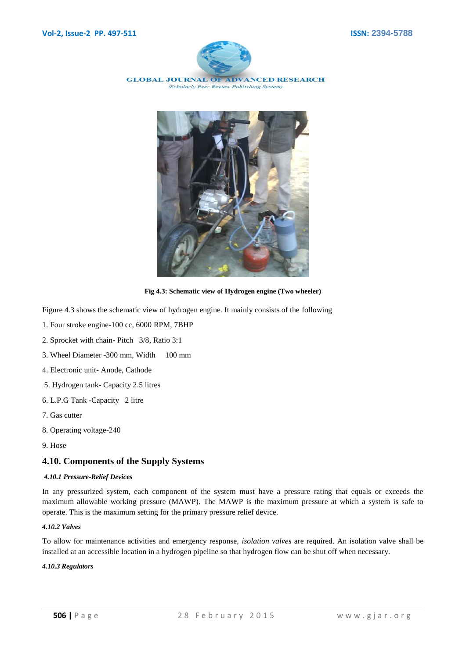

**GLOBAL JOURNAL OF ADVANCED RESEARCH** (Scholarly Peer Review Publishing System)



**Fig 4.3: Schematic view of Hydrogen engine (Two wheeler)**

Figure 4.3 shows the schematic view of hydrogen engine. It mainly consists of the following

- 1. Four stroke engine-100 cc, 6000 RPM, 7BHP
- 2. Sprocket with chain- Pitch 3/8, Ratio 3:1
- 3. Wheel Diameter -300 mm, Width 100 mm
- 4. Electronic unit- Anode, Cathode
- 5. Hydrogen tank- Capacity 2.5 litres
- 6. L.P.G Tank -Capacity 2 litre
- 7. Gas cutter
- 8. Operating voltage-240
- 9. Hose

#### **4.10. Components of the Supply Systems**

#### *4.10.1 Pressure-Relief Devices*

In any pressurized system, each component of the system must have a pressure rating that equals or exceeds the maximum allowable working pressure (MAWP). The MAWP is the maximum pressure at which a system is safe to operate. This is the maximum setting for the primary pressure relief device.

#### *4.10.2 Valves*

To allow for maintenance activities and emergency response, *isolation valves* are required. An isolation valve shall be installed at an accessible location in a hydrogen pipeline so that hydrogen flow can be shut off when necessary.

#### *4.10.3 Regulators*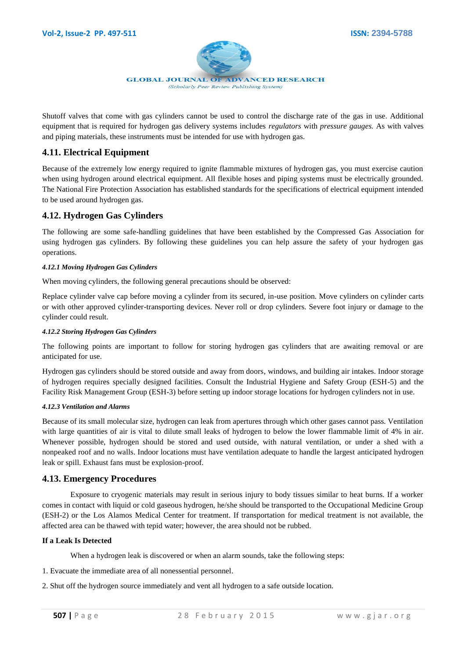

Shutoff valves that come with gas cylinders cannot be used to control the discharge rate of the gas in use. Additional equipment that is required for hydrogen gas delivery systems includes *regulators* with *pressure gauges.* As with valves and piping materials, these instruments must be intended for use with hydrogen gas.

# **4.11. Electrical Equipment**

Because of the extremely low energy required to ignite flammable mixtures of hydrogen gas, you must exercise caution when using hydrogen around electrical equipment. All flexible hoses and piping systems must be electrically grounded. The National Fire Protection Association has established standards for the specifications of electrical equipment intended to be used around hydrogen gas.

## **4.12. Hydrogen Gas Cylinders**

The following are some safe-handling guidelines that have been established by the Compressed Gas Association for using hydrogen gas cylinders. By following these guidelines you can help assure the safety of your hydrogen gas operations.

#### *4.12.1 Moving Hydrogen Gas Cylinders*

When moving cylinders, the following general precautions should be observed:

Replace cylinder valve cap before moving a cylinder from its secured, in-use position. Move cylinders on cylinder carts or with other approved cylinder-transporting devices. Never roll or drop cylinders. Severe foot injury or damage to the cylinder could result.

#### *4.12.2 Storing Hydrogen Gas Cylinders*

The following points are important to follow for storing hydrogen gas cylinders that are awaiting removal or are anticipated for use.

Hydrogen gas cylinders should be stored outside and away from doors, windows, and building air intakes. Indoor storage of hydrogen requires specially designed facilities. Consult the Industrial Hygiene and Safety Group (ESH-5) and the Facility Risk Management Group (ESH-3) before setting up indoor storage locations for hydrogen cylinders not in use.

#### *4.12.3 Ventilation and Alarms*

Because of its small molecular size, hydrogen can leak from apertures through which other gases cannot pass. Ventilation with large quantities of air is vital to dilute small leaks of hydrogen to below the lower flammable limit of 4% in air. Whenever possible, hydrogen should be stored and used outside, with natural ventilation, or under a shed with a nonpeaked roof and no walls. Indoor locations must have ventilation adequate to handle the largest anticipated hydrogen leak or spill. Exhaust fans must be explosion-proof.

#### **4.13. Emergency Procedures**

Exposure to cryogenic materials may result in serious injury to body tissues similar to heat burns. If a worker comes in contact with liquid or cold gaseous hydrogen, he/she should be transported to the Occupational Medicine Group (ESH-2) or the Los Alamos Medical Center for treatment. If transportation for medical treatment is not available, the affected area can be thawed with tepid water; however, the area should not be rubbed.

#### **If a Leak Is Detected**

When a hydrogen leak is discovered or when an alarm sounds, take the following steps:

- 1. Evacuate the immediate area of all nonessential personnel.
- 2. Shut off the hydrogen source immediately and vent all hydrogen to a safe outside location.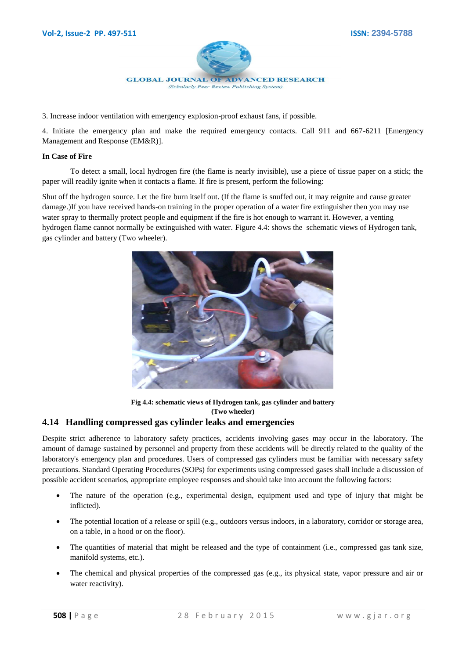

3. Increase indoor ventilation with emergency explosion-proof exhaust fans, if possible.

4. Initiate the emergency plan and make the required emergency contacts. Call 911 and 667-6211 [Emergency Management and Response (EM&R)].

#### **In Case of Fire**

To detect a small, local hydrogen fire (the flame is nearly invisible), use a piece of tissue paper on a stick; the paper will readily ignite when it contacts a flame. If fire is present, perform the following:

Shut off the hydrogen source. Let the fire burn itself out. (If the flame is snuffed out, it may reignite and cause greater damage.)If you have received hands-on training in the proper operation of a water fire extinguisher then you may use water spray to thermally protect people and equipment if the fire is hot enough to warrant it. However, a venting hydrogen flame cannot normally be extinguished with water. Figure 4.4: shows the schematic views of Hydrogen tank, gas cylinder and battery (Two wheeler).



**Fig 4.4: schematic views of Hydrogen tank, gas cylinder and battery (Two wheeler)**

#### **4.14 Handling compressed gas cylinder leaks and emergencies**

Despite strict adherence to laboratory safety practices, accidents involving gases may occur in the laboratory. The amount of damage sustained by personnel and property from these accidents will be directly related to the quality of the laboratory's emergency plan and procedures. Users of compressed gas cylinders must be familiar with necessary safety precautions. Standard Operating Procedures (SOPs) for experiments using compressed gases shall include a discussion of possible accident scenarios, appropriate employee responses and should take into account the following factors:

- The nature of the operation (e.g., experimental design, equipment used and type of injury that might be inflicted).
- The potential location of a release or spill (e.g., outdoors versus indoors, in a laboratory, corridor or storage area, on a table, in a hood or on the floor).
- The quantities of material that might be released and the type of containment (i.e., compressed gas tank size, manifold systems, etc.).
- The chemical and physical properties of the compressed gas (e.g., its physical state, vapor pressure and air or water reactivity).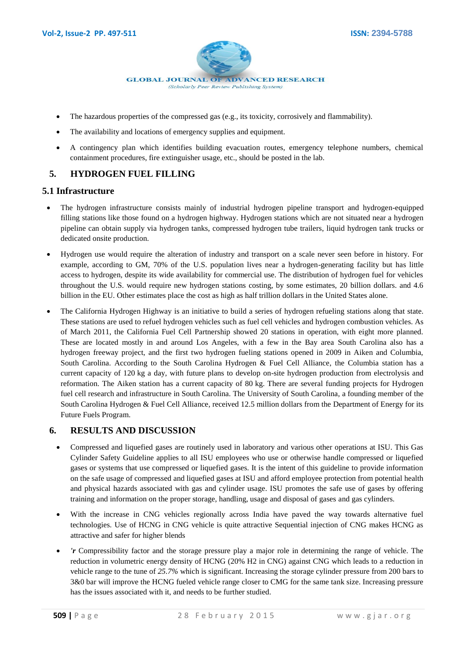

- The hazardous properties of the compressed gas (e.g., its toxicity, corrosively and flammability).
- The availability and locations of emergency supplies and equipment.
- A contingency plan which identifies building evacuation routes, emergency telephone numbers, chemical containment procedures, fire extinguisher usage, etc., should be posted in the lab.

# **5. HYDROGEN FUEL FILLING**

#### **5.1 Infrastructure**

- The [hydrogen infrastructure](http://en.wikipedia.org/wiki/Hydrogen_infrastructure) consists mainly of industrial [hydrogen pipeline transport](http://en.wikipedia.org/wiki/Hydrogen_pipeline_transport) and hydrogen-equipped filling stations like those found on a [hydrogen highway.](http://en.wikipedia.org/wiki/Hydrogen_highway) [Hydrogen stations](http://en.wikipedia.org/wiki/Hydrogen_stations) which are not situated near a hydrogen pipeline can obtain supply via [hydrogen tanks,](http://en.wikipedia.org/wiki/Hydrogen_tank) [compressed hydrogen tube trailers,](http://en.wikipedia.org/wiki/Compressed_hydrogen_tube_trailer) [liquid hydrogen tank trucks](http://en.wikipedia.org/wiki/Liquid_hydrogen_tank_truck) or dedicated onsite production.
- Hydrogen use would require the alteration of industry and transport on a scale never seen before in history. For example, according to GM, 70% of the U.S. population lives near a hydrogen-generating facility but has little access to hydrogen, despite its wide availability for commercial use. The distribution of hydrogen fuel for vehicles throughout the U.S. would require new hydrogen stations costing, by some estimates, 20 billion dollars. and 4.6 billion in the EU. Other estimates place the cost as high as half trillion dollars in the United States alone.
- The [California Hydrogen Highway](http://en.wikipedia.org/wiki/California_Hydrogen_Highway) is an initiative to build a series of [hydrogen refueling stations](http://en.wikipedia.org/wiki/Hydrogen_station) along that state. These stations are used to refue[l hydrogen vehicles](http://en.wikipedia.org/wiki/Hydrogen_vehicles) such as fuel cell vehicles and hydrogen combustion vehicles. As of March 2011, the California Fuel Cell Partnership showed 20 stations in operation, with eight more planned. These are located mostly in and around Los Angeles, with a few in the Bay area [South Carolina](http://en.wikipedia.org/wiki/South_Carolina) also has a hydrogen freeway project, and the first two hydrogen fueling stations opened in 2009 in Aiken and Columbia, South Carolina. According to the [South Carolina Hydrogen & Fuel Cell Alliance,](http://en.wikipedia.org/wiki/South_Carolina_Hydrogen_&_Fuel_Cell_Alliance) the Columbia station has a current capacity of 120 kg a day, with future plans to develop on-site hydrogen production from electrolysis and reformation. The Aiken station has a current capacity of 80 kg. There are several funding projects for Hydrogen fuel cell research and infrastructure in South Carolina. The [University of South Carolina,](http://en.wikipedia.org/wiki/University_of_South_Carolina) a founding member of the [South Carolina Hydrogen & Fuel Cell Alliance,](http://en.wikipedia.org/wiki/South_Carolina_Hydrogen_&_Fuel_Cell_Alliance) received 12.5 million dollars from the [Department of Energy](http://en.wikipedia.org/wiki/United_States_Department_of_Energy) for its Future Fuels Program.

#### **6. RESULTS AND DISCUSSION**

- Compressed and liquefied gases are routinely used in laboratory and various other operations at ISU. This Gas Cylinder Safety Guideline applies to all ISU employees who use or otherwise handle compressed or liquefied gases or systems that use compressed or liquefied gases. It is the intent of this guideline to provide information on the safe usage of compressed and liquefied gases at ISU and afford employee protection from potential health and physical hazards associated with gas and cylinder usage. ISU promotes the safe use of gases by offering training and information on the proper storage, handling, usage and disposal of gases and gas cylinders.
- With the increase in CNG vehicles regionally across India have paved the way towards alternative fuel technologies. Use of HCNG in CNG vehicle is quite attractive Sequential injection of CNG makes HCNG as attractive and safer for higher blends
- *'r* Compressibility factor and the storage pressure play a major role in determining the range of vehicle. The reduction in volumetric energy density of HCNG (20% H2 in CNG) against CNG which leads to a reduction in vehicle range to the tune of *25.7%* which is significant. Increasing the storage cylinder pressure from 200 bars to 3&0 bar will improve the HCNG fueled vehicle range closer to CMG for the same tank size. Increasing pressure has the issues associated with it, and needs to be further studied.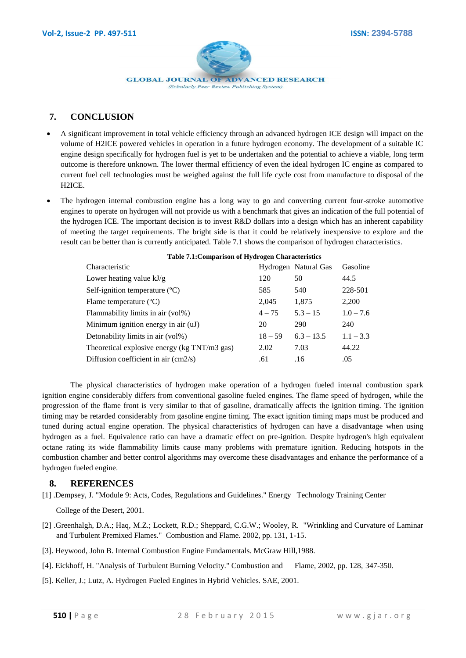

# **7. CONCLUSION**

- A significant improvement in total vehicle efficiency through an advanced hydrogen ICE design will impact on the volume of H2ICE powered vehicles in operation in a future hydrogen economy. The development of a suitable IC engine design specifically for hydrogen fuel is yet to be undertaken and the potential to achieve a viable, long term outcome is therefore unknown. The lower thermal efficiency of even the ideal hydrogen IC engine as compared to current fuel cell technologies must be weighed against the full life cycle cost from manufacture to disposal of the H2ICE.
- The hydrogen internal combustion engine has a long way to go and converting current four-stroke automotive engines to operate on hydrogen will not provide us with a benchmark that gives an indication of the full potential of the hydrogen ICE. The important decision is to invest R&D dollars into a design which has an inherent capability of meeting the target requirements. The bright side is that it could be relatively inexpensive to explore and the result can be better than is currently anticipated. Table 7.1 shows the comparison of hydrogen characteristics.

| Characteristic                                              |           | Hydrogen Natural Gas | Gasoline    |
|-------------------------------------------------------------|-----------|----------------------|-------------|
| Lower heating value $kJ/g$                                  | 120       | 50                   | 44.5        |
| Self-ignition temperature $({}^{\circ}C)$                   | 585       | 540                  | 228-501     |
| Flame temperature $(^{\circ}C)$                             | 2,045     | 1,875                | 2,200       |
| Flammability limits in air (vol%)                           | $4 - 75$  | $5.3 - 15$           | $1.0 - 7.6$ |
| Minimum ignition energy in air (uJ)                         | 20        | 290                  | 240         |
| Detonability limits in air (vol%)                           | $18 - 59$ | $6.3 - 13.5$         | $1.1 - 3.3$ |
| Theoretical explosive energy (kg TNT/m3 gas)                | 2.02      | 7.03                 | 44.22       |
| Diffusion coefficient in air $\langle \text{cm2/s} \rangle$ | .61       | .16                  | .05         |
|                                                             |           |                      |             |

#### **Table 7.1:Comparison of Hydrogen Characteristics**

The physical characteristics of hydrogen make operation of a hydrogen fueled internal combustion spark ignition engine considerably differs from conventional gasoline fueled engines. The flame speed of hydrogen, while the progression of the flame front is very similar to that of gasoline, dramatically affects the ignition timing. The ignition timing may be retarded considerably from gasoline engine timing. The exact ignition timing maps must be produced and tuned during actual engine operation. The physical characteristics of hydrogen can have a disadvantage when using hydrogen as a fuel. Equivalence ratio can have a dramatic effect on pre-ignition. Despite hydrogen's high equivalent octane rating its wide flammability limits cause many problems with premature ignition. Reducing hotspots in the combustion chamber and better control algorithms may overcome these disadvantages and enhance the performance of a hydrogen fueled engine.

#### **8. REFERENCES**

[1] .Dempsey, J. "Module 9: Acts, Codes, Regulations and Guidelines." Energy Technology Training Center

College of the Desert, 2001.

- [2] .Greenhalgh, D.A.; Haq, M.Z.; Lockett, R.D.; Sheppard, C.G.W.; Wooley, R. "Wrinkling and Curvature of Laminar and Turbulent Premixed Flames." Combustion and Flame. 2002, pp. 131, 1-15.
- [3]. Heywood, John B. Internal Combustion Engine Fundamentals. McGraw Hill,1988.
- [4]. Eickhoff, H. "Analysis of Turbulent Burning Velocity." Combustion and Flame, 2002, pp. 128, 347-350.
- [5]. Keller, J.; Lutz, A. Hydrogen Fueled Engines in Hybrid Vehicles. SAE, 2001.